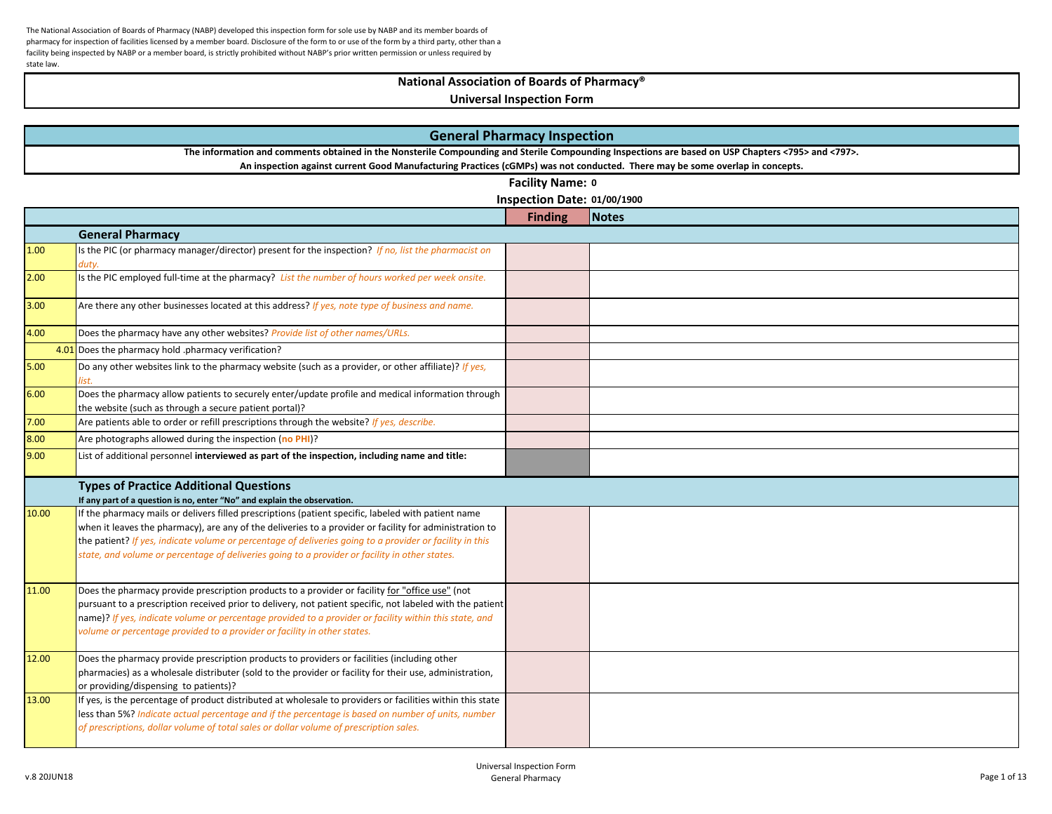# **National Association of Boards of Pharmacy®**

|       | <b>General Pharmacy Inspection</b>                                                                                                                                                                                                                                                                                                                                                                                           |                             |       |  |  |
|-------|------------------------------------------------------------------------------------------------------------------------------------------------------------------------------------------------------------------------------------------------------------------------------------------------------------------------------------------------------------------------------------------------------------------------------|-----------------------------|-------|--|--|
|       | The information and comments obtained in the Nonsterile Compounding and Sterile Compounding Inspections are based on USP Chapters <795> and <797>.                                                                                                                                                                                                                                                                           |                             |       |  |  |
|       | An inspection against current Good Manufacturing Practices (cGMPs) was not conducted. There may be some overlap in concepts.                                                                                                                                                                                                                                                                                                 |                             |       |  |  |
|       |                                                                                                                                                                                                                                                                                                                                                                                                                              | Facility Name: 0            |       |  |  |
|       |                                                                                                                                                                                                                                                                                                                                                                                                                              | Inspection Date: 01/00/1900 |       |  |  |
|       |                                                                                                                                                                                                                                                                                                                                                                                                                              | <b>Finding</b>              | Notes |  |  |
|       | <b>General Pharmacy</b>                                                                                                                                                                                                                                                                                                                                                                                                      |                             |       |  |  |
| 1.00  | Is the PIC (or pharmacy manager/director) present for the inspection? If no, list the pharmacist on<br>duty.                                                                                                                                                                                                                                                                                                                 |                             |       |  |  |
| 2.00  | Is the PIC employed full-time at the pharmacy? List the number of hours worked per week onsite.                                                                                                                                                                                                                                                                                                                              |                             |       |  |  |
| 3.00  | Are there any other businesses located at this address? If yes, note type of business and name.                                                                                                                                                                                                                                                                                                                              |                             |       |  |  |
| 4.00  | Does the pharmacy have any other websites? Provide list of other names/URLs.                                                                                                                                                                                                                                                                                                                                                 |                             |       |  |  |
|       | 4.01 Does the pharmacy hold .pharmacy verification?                                                                                                                                                                                                                                                                                                                                                                          |                             |       |  |  |
| 5.00  | Do any other websites link to the pharmacy website (such as a provider, or other affiliate)? If yes,                                                                                                                                                                                                                                                                                                                         |                             |       |  |  |
| 6.00  | Does the pharmacy allow patients to securely enter/update profile and medical information through<br>the website (such as through a secure patient portal)?                                                                                                                                                                                                                                                                  |                             |       |  |  |
| 7.00  | Are patients able to order or refill prescriptions through the website? If yes, describe.                                                                                                                                                                                                                                                                                                                                    |                             |       |  |  |
| 8.00  | Are photographs allowed during the inspection (no PHI)?                                                                                                                                                                                                                                                                                                                                                                      |                             |       |  |  |
| 9.00  | List of additional personnel interviewed as part of the inspection, including name and title:                                                                                                                                                                                                                                                                                                                                |                             |       |  |  |
|       | <b>Types of Practice Additional Questions</b><br>If any part of a question is no, enter "No" and explain the observation.                                                                                                                                                                                                                                                                                                    |                             |       |  |  |
| 10.00 | If the pharmacy mails or delivers filled prescriptions (patient specific, labeled with patient name<br>when it leaves the pharmacy), are any of the deliveries to a provider or facility for administration to<br>the patient? If yes, indicate volume or percentage of deliveries going to a provider or facility in this<br>state, and volume or percentage of deliveries going to a provider or facility in other states. |                             |       |  |  |
| 11.00 | Does the pharmacy provide prescription products to a provider or facility for "office use" (not<br>pursuant to a prescription received prior to delivery, not patient specific, not labeled with the patient<br>name)? If yes, indicate volume or percentage provided to a provider or facility within this state, and<br>volume or percentage provided to a provider or facility in other states.                           |                             |       |  |  |
| 12.00 | Does the pharmacy provide prescription products to providers or facilities (including other<br>pharmacies) as a wholesale distributer (sold to the provider or facility for their use, administration,<br>or providing/dispensing to patients)?                                                                                                                                                                              |                             |       |  |  |
| 13.00 | If yes, is the percentage of product distributed at wholesale to providers or facilities within this state<br>less than 5%? Indicate actual percentage and if the percentage is based on number of units, number<br>of prescriptions, dollar volume of total sales or dollar volume of prescription sales.                                                                                                                   |                             |       |  |  |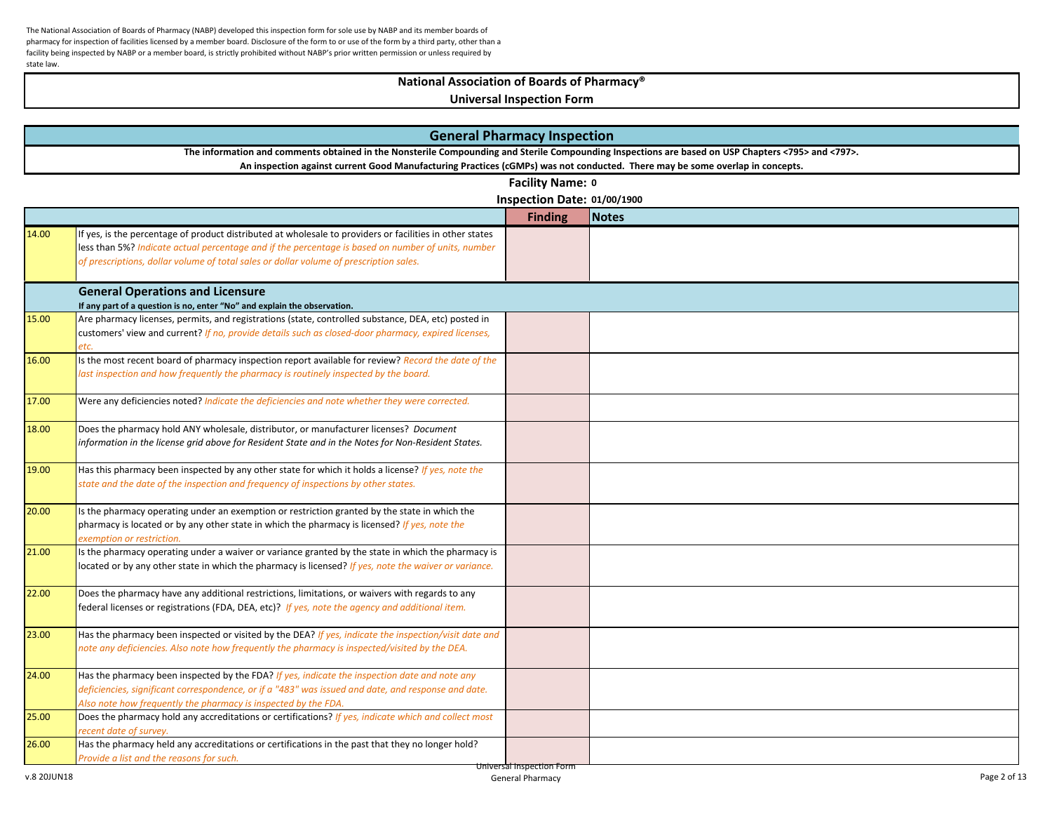### **National Association of Boards of Pharmacy®**

|       | <b>General Pharmacy Inspection</b>                                                                                                                                                                 |                             |              |  |
|-------|----------------------------------------------------------------------------------------------------------------------------------------------------------------------------------------------------|-----------------------------|--------------|--|
|       | The information and comments obtained in the Nonsterile Compounding and Sterile Compounding Inspections are based on USP Chapters <795> and <797>.                                                 |                             |              |  |
|       | An inspection against current Good Manufacturing Practices (cGMPs) was not conducted. There may be some overlap in concepts.                                                                       |                             |              |  |
|       |                                                                                                                                                                                                    | Facility Name: 0            |              |  |
|       |                                                                                                                                                                                                    | Inspection Date: 01/00/1900 |              |  |
|       |                                                                                                                                                                                                    | <b>Finding</b>              | <b>Notes</b> |  |
| 14.00 | If yes, is the percentage of product distributed at wholesale to providers or facilities in other states                                                                                           |                             |              |  |
|       | less than 5%? Indicate actual percentage and if the percentage is based on number of units, number                                                                                                 |                             |              |  |
|       | of prescriptions, dollar volume of total sales or dollar volume of prescription sales.                                                                                                             |                             |              |  |
|       | <b>General Operations and Licensure</b>                                                                                                                                                            |                             |              |  |
|       | If any part of a question is no, enter "No" and explain the observation.                                                                                                                           |                             |              |  |
| 15.00 | Are pharmacy licenses, permits, and registrations (state, controlled substance, DEA, etc) posted in                                                                                                |                             |              |  |
|       | customers' view and current? If no, provide details such as closed-door pharmacy, expired licenses,                                                                                                |                             |              |  |
|       |                                                                                                                                                                                                    |                             |              |  |
| 16.00 | Is the most recent board of pharmacy inspection report available for review? Record the date of the                                                                                                |                             |              |  |
|       | last inspection and how frequently the pharmacy is routinely inspected by the board.                                                                                                               |                             |              |  |
|       |                                                                                                                                                                                                    |                             |              |  |
| 17.00 | Were any deficiencies noted? Indicate the deficiencies and note whether they were corrected.                                                                                                       |                             |              |  |
| 18.00 | Does the pharmacy hold ANY wholesale, distributor, or manufacturer licenses? Document                                                                                                              |                             |              |  |
|       | information in the license grid above for Resident State and in the Notes for Non-Resident States.                                                                                                 |                             |              |  |
|       |                                                                                                                                                                                                    |                             |              |  |
| 19.00 | Has this pharmacy been inspected by any other state for which it holds a license? If yes, note the                                                                                                 |                             |              |  |
|       | state and the date of the inspection and frequency of inspections by other states.                                                                                                                 |                             |              |  |
|       |                                                                                                                                                                                                    |                             |              |  |
| 20.00 | Is the pharmacy operating under an exemption or restriction granted by the state in which the                                                                                                      |                             |              |  |
|       | pharmacy is located or by any other state in which the pharmacy is licensed? If yes, note the                                                                                                      |                             |              |  |
|       | exemption or restriction.                                                                                                                                                                          |                             |              |  |
| 21.00 | Is the pharmacy operating under a waiver or variance granted by the state in which the pharmacy is                                                                                                 |                             |              |  |
|       | located or by any other state in which the pharmacy is licensed? If yes, note the waiver or variance.                                                                                              |                             |              |  |
|       |                                                                                                                                                                                                    |                             |              |  |
| 22.00 | Does the pharmacy have any additional restrictions, limitations, or waivers with regards to any<br>federal licenses or registrations (FDA, DEA, etc)? If yes, note the agency and additional item. |                             |              |  |
|       |                                                                                                                                                                                                    |                             |              |  |
| 23.00 | Has the pharmacy been inspected or visited by the DEA? If yes, indicate the inspection/visit date and                                                                                              |                             |              |  |
|       | note any deficiencies. Also note how frequently the pharmacy is inspected/visited by the DEA.                                                                                                      |                             |              |  |
|       |                                                                                                                                                                                                    |                             |              |  |
| 24.00 | Has the pharmacy been inspected by the FDA? If yes, indicate the inspection date and note any                                                                                                      |                             |              |  |
|       | deficiencies, significant correspondence, or if a "483" was issued and date, and response and date.                                                                                                |                             |              |  |
|       | Also note how frequently the pharmacy is inspected by the FDA.                                                                                                                                     |                             |              |  |
| 25.00 | Does the pharmacy hold any accreditations or certifications? If yes, indicate which and collect most                                                                                               |                             |              |  |
|       | ecent date of survey.                                                                                                                                                                              |                             |              |  |
| 26.00 | Has the pharmacy held any accreditations or certifications in the past that they no longer hold?                                                                                                   |                             |              |  |
|       | Provide a list and the reasons for such.                                                                                                                                                           | Universal Inspection Form   |              |  |
|       |                                                                                                                                                                                                    |                             |              |  |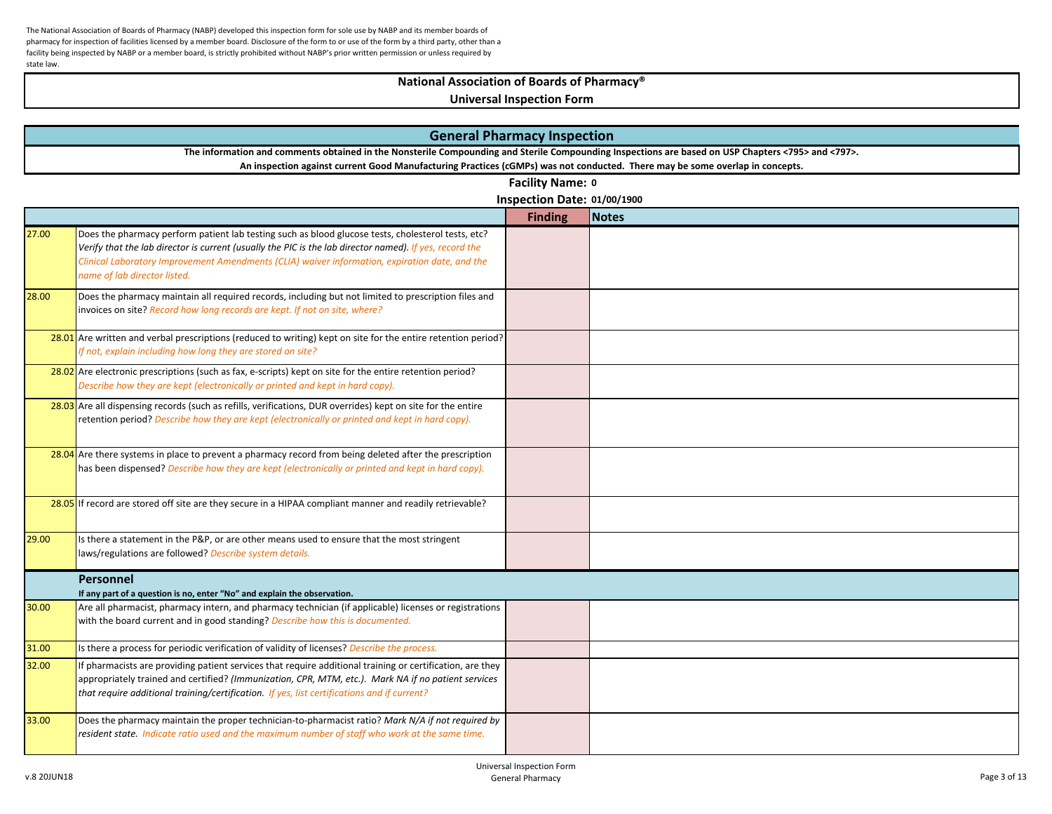## **National Association of Boards of Pharmacy®**

|       | <b>General Pharmacy Inspection</b>                                                                                                                                                                                                                                                                                                              |                             |              |  |  |
|-------|-------------------------------------------------------------------------------------------------------------------------------------------------------------------------------------------------------------------------------------------------------------------------------------------------------------------------------------------------|-----------------------------|--------------|--|--|
|       | The information and comments obtained in the Nonsterile Compounding and Sterile Compounding Inspections are based on USP Chapters <795> and <797>.                                                                                                                                                                                              |                             |              |  |  |
|       | An inspection against current Good Manufacturing Practices (cGMPs) was not conducted. There may be some overlap in concepts.                                                                                                                                                                                                                    |                             |              |  |  |
|       |                                                                                                                                                                                                                                                                                                                                                 | Facility Name: 0            |              |  |  |
|       |                                                                                                                                                                                                                                                                                                                                                 | Inspection Date: 01/00/1900 |              |  |  |
|       |                                                                                                                                                                                                                                                                                                                                                 | <b>Finding</b>              | <b>Notes</b> |  |  |
| 27.00 | Does the pharmacy perform patient lab testing such as blood glucose tests, cholesterol tests, etc?<br>Verify that the lab director is current (usually the PIC is the lab director named). If yes, record the<br>Clinical Laboratory Improvement Amendments (CLIA) waiver information, expiration date, and the<br>name of lab director listed. |                             |              |  |  |
| 28.00 | Does the pharmacy maintain all required records, including but not limited to prescription files and<br>invoices on site? Record how long records are kept. If not on site, where?                                                                                                                                                              |                             |              |  |  |
|       | 28.01 Are written and verbal prescriptions (reduced to writing) kept on site for the entire retention period?<br>If not, explain including how long they are stored on site?                                                                                                                                                                    |                             |              |  |  |
|       | 28.02 Are electronic prescriptions (such as fax, e-scripts) kept on site for the entire retention period?<br>Describe how they are kept (electronically or printed and kept in hard copy).                                                                                                                                                      |                             |              |  |  |
|       | 28.03 Are all dispensing records (such as refills, verifications, DUR overrides) kept on site for the entire<br>retention period? Describe how they are kept (electronically or printed and kept in hard copy).                                                                                                                                 |                             |              |  |  |
|       | 28.04 Are there systems in place to prevent a pharmacy record from being deleted after the prescription<br>has been dispensed? Describe how they are kept (electronically or printed and kept in hard copy).                                                                                                                                    |                             |              |  |  |
|       | 28.05 If record are stored off site are they secure in a HIPAA compliant manner and readily retrievable?                                                                                                                                                                                                                                        |                             |              |  |  |
| 29.00 | Is there a statement in the P&P, or are other means used to ensure that the most stringent<br>laws/regulations are followed? Describe system details.                                                                                                                                                                                           |                             |              |  |  |
|       | <b>Personnel</b><br>If any part of a question is no, enter "No" and explain the observation.                                                                                                                                                                                                                                                    |                             |              |  |  |
| 30.00 | Are all pharmacist, pharmacy intern, and pharmacy technician (if applicable) licenses or registrations<br>with the board current and in good standing? Describe how this is documented.                                                                                                                                                         |                             |              |  |  |
| 31.00 | Is there a process for periodic verification of validity of licenses? Describe the process.                                                                                                                                                                                                                                                     |                             |              |  |  |
| 32.00 | If pharmacists are providing patient services that require additional training or certification, are they<br>appropriately trained and certified? (Immunization, CPR, MTM, etc.). Mark NA if no patient services<br>that require additional training/certification. If yes, list certifications and if current?                                 |                             |              |  |  |
| 33.00 | Does the pharmacy maintain the proper technician-to-pharmacist ratio? Mark N/A if not required by<br>resident state. Indicate ratio used and the maximum number of staff who work at the same time.                                                                                                                                             |                             |              |  |  |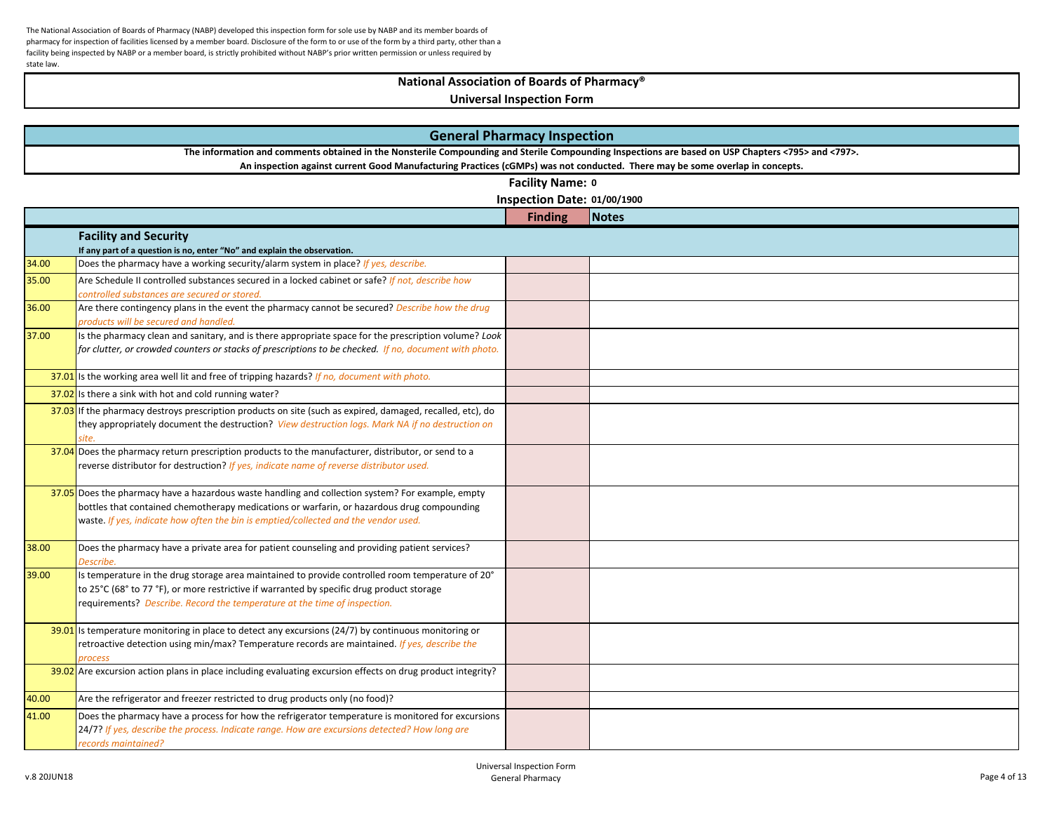# **National Association of Boards of Pharmacy®**

|                                                                                                                                                    | <b>General Pharmacy Inspection</b>                                                                                                                                                                 |                             |              |  |
|----------------------------------------------------------------------------------------------------------------------------------------------------|----------------------------------------------------------------------------------------------------------------------------------------------------------------------------------------------------|-----------------------------|--------------|--|
| The information and comments obtained in the Nonsterile Compounding and Sterile Compounding Inspections are based on USP Chapters <795> and <797>. |                                                                                                                                                                                                    |                             |              |  |
|                                                                                                                                                    | An inspection against current Good Manufacturing Practices (cGMPs) was not conducted. There may be some overlap in concepts.                                                                       |                             |              |  |
|                                                                                                                                                    |                                                                                                                                                                                                    | Facility Name: 0            |              |  |
|                                                                                                                                                    |                                                                                                                                                                                                    | Inspection Date: 01/00/1900 |              |  |
|                                                                                                                                                    |                                                                                                                                                                                                    | <b>Finding</b>              | <b>Notes</b> |  |
|                                                                                                                                                    | <b>Facility and Security</b>                                                                                                                                                                       |                             |              |  |
|                                                                                                                                                    | If any part of a question is no, enter "No" and explain the observation.                                                                                                                           |                             |              |  |
| 34.00                                                                                                                                              | Does the pharmacy have a working security/alarm system in place? If yes, describe.                                                                                                                 |                             |              |  |
| 35.00                                                                                                                                              | Are Schedule II controlled substances secured in a locked cabinet or safe? If not, describe how                                                                                                    |                             |              |  |
|                                                                                                                                                    | controlled substances are secured or stored.                                                                                                                                                       |                             |              |  |
| 36.00                                                                                                                                              | Are there contingency plans in the event the pharmacy cannot be secured? Describe how the drug<br>products will be secured and handled.                                                            |                             |              |  |
| 37.00                                                                                                                                              | Is the pharmacy clean and sanitary, and is there appropriate space for the prescription volume? Look                                                                                               |                             |              |  |
|                                                                                                                                                    | for clutter, or crowded counters or stacks of prescriptions to be checked. If no, document with photo.                                                                                             |                             |              |  |
|                                                                                                                                                    |                                                                                                                                                                                                    |                             |              |  |
|                                                                                                                                                    | 37.01 Is the working area well lit and free of tripping hazards? If no, document with photo.                                                                                                       |                             |              |  |
|                                                                                                                                                    | 37.02 Is there a sink with hot and cold running water?                                                                                                                                             |                             |              |  |
|                                                                                                                                                    | $37.03$ If the pharmacy destroys prescription products on site (such as expired, damaged, recalled, etc), do                                                                                       |                             |              |  |
|                                                                                                                                                    | they appropriately document the destruction? View destruction logs. Mark NA if no destruction on<br>site                                                                                           |                             |              |  |
|                                                                                                                                                    | 37.04 Does the pharmacy return prescription products to the manufacturer, distributor, or send to a                                                                                                |                             |              |  |
|                                                                                                                                                    | reverse distributor for destruction? If yes, indicate name of reverse distributor used.                                                                                                            |                             |              |  |
|                                                                                                                                                    |                                                                                                                                                                                                    |                             |              |  |
|                                                                                                                                                    | 37.05 Does the pharmacy have a hazardous waste handling and collection system? For example, empty                                                                                                  |                             |              |  |
|                                                                                                                                                    | bottles that contained chemotherapy medications or warfarin, or hazardous drug compounding                                                                                                         |                             |              |  |
|                                                                                                                                                    | waste. If yes, indicate how often the bin is emptied/collected and the vendor used.                                                                                                                |                             |              |  |
| 38.00                                                                                                                                              | Does the pharmacy have a private area for patient counseling and providing patient services?                                                                                                       |                             |              |  |
|                                                                                                                                                    | Describe.                                                                                                                                                                                          |                             |              |  |
| 39.00                                                                                                                                              | Is temperature in the drug storage area maintained to provide controlled room temperature of 20°                                                                                                   |                             |              |  |
|                                                                                                                                                    | to 25°C (68° to 77 °F), or more restrictive if warranted by specific drug product storage                                                                                                          |                             |              |  |
|                                                                                                                                                    | requirements? Describe. Record the temperature at the time of inspection.                                                                                                                          |                             |              |  |
|                                                                                                                                                    | $39.01$ Is temperature monitoring in place to detect any excursions (24/7) by continuous monitoring or                                                                                             |                             |              |  |
|                                                                                                                                                    | retroactive detection using min/max? Temperature records are maintained. If yes, describe the                                                                                                      |                             |              |  |
|                                                                                                                                                    | orocess                                                                                                                                                                                            |                             |              |  |
|                                                                                                                                                    | $39.02$ Are excursion action plans in place including evaluating excursion effects on drug product integrity?                                                                                      |                             |              |  |
|                                                                                                                                                    |                                                                                                                                                                                                    |                             |              |  |
| 40.00                                                                                                                                              | Are the refrigerator and freezer restricted to drug products only (no food)?                                                                                                                       |                             |              |  |
| 41.00                                                                                                                                              | Does the pharmacy have a process for how the refrigerator temperature is monitored for excursions<br>24/7? If yes, describe the process. Indicate range. How are excursions detected? How long are |                             |              |  |
|                                                                                                                                                    | records maintained?                                                                                                                                                                                |                             |              |  |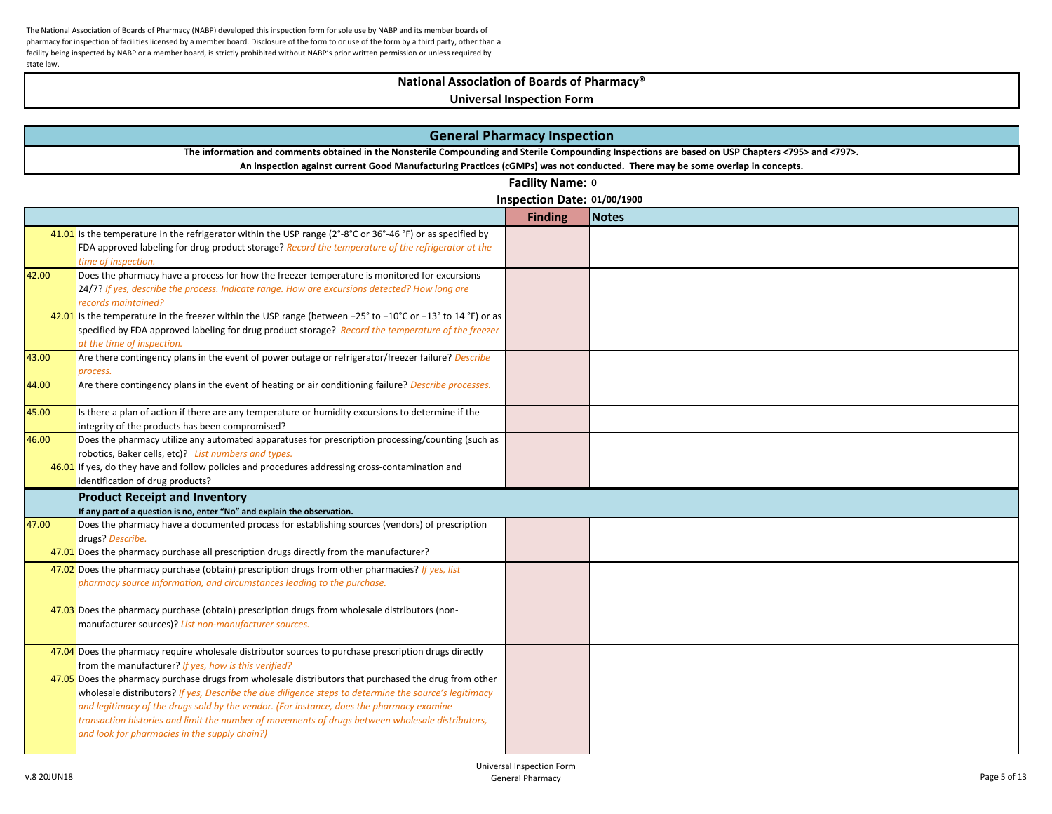## **National Association of Boards of Pharmacy®**

|       | <b>General Pharmacy Inspection</b>                                                                                                                                                                                |                             |              |  |  |  |
|-------|-------------------------------------------------------------------------------------------------------------------------------------------------------------------------------------------------------------------|-----------------------------|--------------|--|--|--|
|       | The information and comments obtained in the Nonsterile Compounding and Sterile Compounding Inspections are based on USP Chapters <795> and <797>.                                                                |                             |              |  |  |  |
|       | An inspection against current Good Manufacturing Practices (cGMPs) was not conducted. There may be some overlap in concepts.                                                                                      |                             |              |  |  |  |
|       |                                                                                                                                                                                                                   | Facility Name: 0            |              |  |  |  |
|       |                                                                                                                                                                                                                   | Inspection Date: 01/00/1900 |              |  |  |  |
|       |                                                                                                                                                                                                                   | <b>Finding</b>              | <b>Notes</b> |  |  |  |
|       | 41.01 is the temperature in the refrigerator within the USP range ( $2^{\circ}$ -8°C or 36°-46°F) or as specified by                                                                                              |                             |              |  |  |  |
|       | FDA approved labeling for drug product storage? Record the temperature of the refrigerator at the                                                                                                                 |                             |              |  |  |  |
|       | time of inspection.                                                                                                                                                                                               |                             |              |  |  |  |
| 42.00 | Does the pharmacy have a process for how the freezer temperature is monitored for excursions                                                                                                                      |                             |              |  |  |  |
|       | 24/7? If yes, describe the process. Indicate range. How are excursions detected? How long are                                                                                                                     |                             |              |  |  |  |
|       | records maintained?                                                                                                                                                                                               |                             |              |  |  |  |
|       | 42.01 is the temperature in the freezer within the USP range (between -25° to -10°C or -13° to 14 °F) or as<br>specified by FDA approved labeling for drug product storage? Record the temperature of the freezer |                             |              |  |  |  |
|       | at the time of inspection.                                                                                                                                                                                        |                             |              |  |  |  |
| 43.00 | Are there contingency plans in the event of power outage or refrigerator/freezer failure? Describe                                                                                                                |                             |              |  |  |  |
|       | process.                                                                                                                                                                                                          |                             |              |  |  |  |
| 44.00 | Are there contingency plans in the event of heating or air conditioning failure? Describe processes.                                                                                                              |                             |              |  |  |  |
|       |                                                                                                                                                                                                                   |                             |              |  |  |  |
| 45.00 | Is there a plan of action if there are any temperature or humidity excursions to determine if the                                                                                                                 |                             |              |  |  |  |
|       | integrity of the products has been compromised?                                                                                                                                                                   |                             |              |  |  |  |
| 46.00 | Does the pharmacy utilize any automated apparatuses for prescription processing/counting (such as                                                                                                                 |                             |              |  |  |  |
|       | robotics, Baker cells, etc)? List numbers and types.                                                                                                                                                              |                             |              |  |  |  |
|       | $46.01$ If yes, do they have and follow policies and procedures addressing cross-contamination and                                                                                                                |                             |              |  |  |  |
|       | identification of drug products?                                                                                                                                                                                  |                             |              |  |  |  |
|       | <b>Product Receipt and Inventory</b><br>If any part of a question is no, enter "No" and explain the observation.                                                                                                  |                             |              |  |  |  |
| 47.00 | Does the pharmacy have a documented process for establishing sources (vendors) of prescription                                                                                                                    |                             |              |  |  |  |
|       | drugs? Describe.                                                                                                                                                                                                  |                             |              |  |  |  |
|       | $47.01$ Does the pharmacy purchase all prescription drugs directly from the manufacturer?                                                                                                                         |                             |              |  |  |  |
|       | 47.02 Does the pharmacy purchase (obtain) prescription drugs from other pharmacies? If yes, list                                                                                                                  |                             |              |  |  |  |
|       | pharmacy source information, and circumstances leading to the purchase.                                                                                                                                           |                             |              |  |  |  |
|       |                                                                                                                                                                                                                   |                             |              |  |  |  |
|       | 47.03 Does the pharmacy purchase (obtain) prescription drugs from wholesale distributors (non-                                                                                                                    |                             |              |  |  |  |
|       | manufacturer sources)? List non-manufacturer sources.                                                                                                                                                             |                             |              |  |  |  |
|       | 47.04 Does the pharmacy require wholesale distributor sources to purchase prescription drugs directly                                                                                                             |                             |              |  |  |  |
|       | from the manufacturer? If yes, how is this verified?                                                                                                                                                              |                             |              |  |  |  |
|       | 47.05 Does the pharmacy purchase drugs from wholesale distributors that purchased the drug from other                                                                                                             |                             |              |  |  |  |
|       | wholesale distributors? If yes, Describe the due diligence steps to determine the source's legitimacy                                                                                                             |                             |              |  |  |  |
|       | and legitimacy of the drugs sold by the vendor. (For instance, does the pharmacy examine                                                                                                                          |                             |              |  |  |  |
|       | transaction histories and limit the number of movements of drugs between wholesale distributors,                                                                                                                  |                             |              |  |  |  |
|       | and look for pharmacies in the supply chain?)                                                                                                                                                                     |                             |              |  |  |  |
|       |                                                                                                                                                                                                                   |                             |              |  |  |  |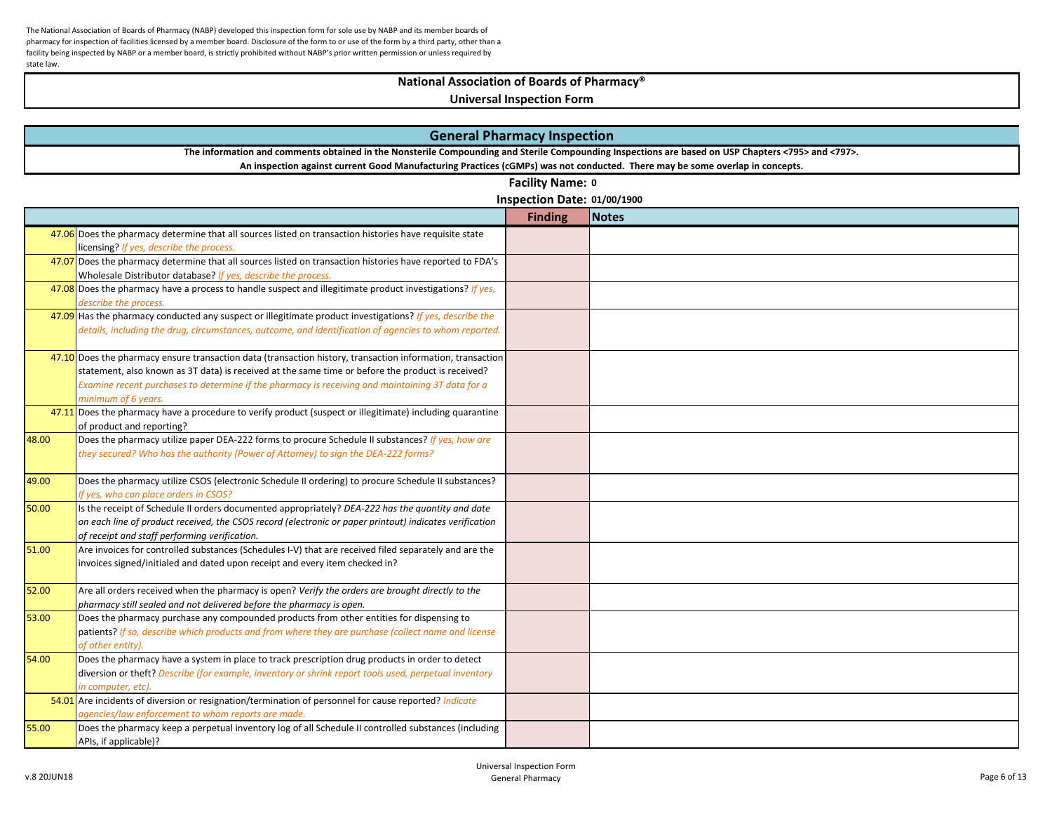## **National Association of Boards of Pharmacy®**

| <b>General Pharmacy Inspection</b> |                                                                                                                                                                                                                                                                                                                                            |                             |              |  |
|------------------------------------|--------------------------------------------------------------------------------------------------------------------------------------------------------------------------------------------------------------------------------------------------------------------------------------------------------------------------------------------|-----------------------------|--------------|--|
|                                    | The information and comments obtained in the Nonsterile Compounding and Sterile Compounding Inspections are based on USP Chapters <795> and <797>.                                                                                                                                                                                         |                             |              |  |
|                                    | An inspection against current Good Manufacturing Practices (cGMPs) was not conducted. There may be some overlap in concepts.                                                                                                                                                                                                               |                             |              |  |
|                                    |                                                                                                                                                                                                                                                                                                                                            | Facility Name: 0            |              |  |
|                                    |                                                                                                                                                                                                                                                                                                                                            | Inspection Date: 01/00/1900 |              |  |
|                                    |                                                                                                                                                                                                                                                                                                                                            | <b>Finding</b>              | <b>Notes</b> |  |
|                                    | 47.06 Does the pharmacy determine that all sources listed on transaction histories have requisite state<br>licensing? If yes, describe the process.                                                                                                                                                                                        |                             |              |  |
|                                    | 47.07 Does the pharmacy determine that all sources listed on transaction histories have reported to FDA's<br>Wholesale Distributor database? If yes, describe the process.                                                                                                                                                                 |                             |              |  |
|                                    | 47.08 Does the pharmacy have a process to handle suspect and illegitimate product investigations? If yes,<br>describe the process.                                                                                                                                                                                                         |                             |              |  |
|                                    | 47.09 Has the pharmacy conducted any suspect or illegitimate product investigations? If yes, describe the<br>details, including the drug, circumstances, outcome, and identification of agencies to whom reported.                                                                                                                         |                             |              |  |
|                                    | 47.10 Does the pharmacy ensure transaction data (transaction history, transaction information, transaction<br>statement, also known as 3T data) is received at the same time or before the product is received?<br>Examine recent purchases to determine if the pharmacy is receiving and maintaining 3T data for a<br>minimum of 6 years. |                             |              |  |
|                                    | 47.11 Does the pharmacy have a procedure to verify product (suspect or illegitimate) including quarantine<br>of product and reporting?                                                                                                                                                                                                     |                             |              |  |
| 48.00                              | Does the pharmacy utilize paper DEA-222 forms to procure Schedule II substances? If yes, how are<br>they secured? Who has the authority (Power of Attorney) to sign the DEA-222 forms?                                                                                                                                                     |                             |              |  |
| 49.00                              | Does the pharmacy utilize CSOS (electronic Schedule II ordering) to procure Schedule II substances?<br>If yes, who can place orders in CSOS?                                                                                                                                                                                               |                             |              |  |
| 50.00                              | Is the receipt of Schedule II orders documented appropriately? DEA-222 has the quantity and date<br>on each line of product received, the CSOS record (electronic or paper printout) indicates verification<br>of receipt and staff performing verification.                                                                               |                             |              |  |
| 51.00                              | Are invoices for controlled substances (Schedules I-V) that are received filed separately and are the<br>invoices signed/initialed and dated upon receipt and every item checked in?                                                                                                                                                       |                             |              |  |
| 52.00                              | Are all orders received when the pharmacy is open? Verify the orders are brought directly to the<br>pharmacy still sealed and not delivered before the pharmacy is open.                                                                                                                                                                   |                             |              |  |
| 53.00                              | Does the pharmacy purchase any compounded products from other entities for dispensing to<br>patients? If so, describe which products and from where they are purchase (collect name and license<br>of other entity).                                                                                                                       |                             |              |  |
| 54.00                              | Does the pharmacy have a system in place to track prescription drug products in order to detect<br>diversion or theft? Describe (for example, inventory or shrink report tools used, perpetual inventory<br>in computer, etc).                                                                                                             |                             |              |  |
|                                    | 54.01 Are incidents of diversion or resignation/termination of personnel for cause reported? Indicate<br>agencies/law enforcement to whom reports are made.                                                                                                                                                                                |                             |              |  |
| 55.00                              | Does the pharmacy keep a perpetual inventory log of all Schedule II controlled substances (including<br>APIs, if applicable)?                                                                                                                                                                                                              |                             |              |  |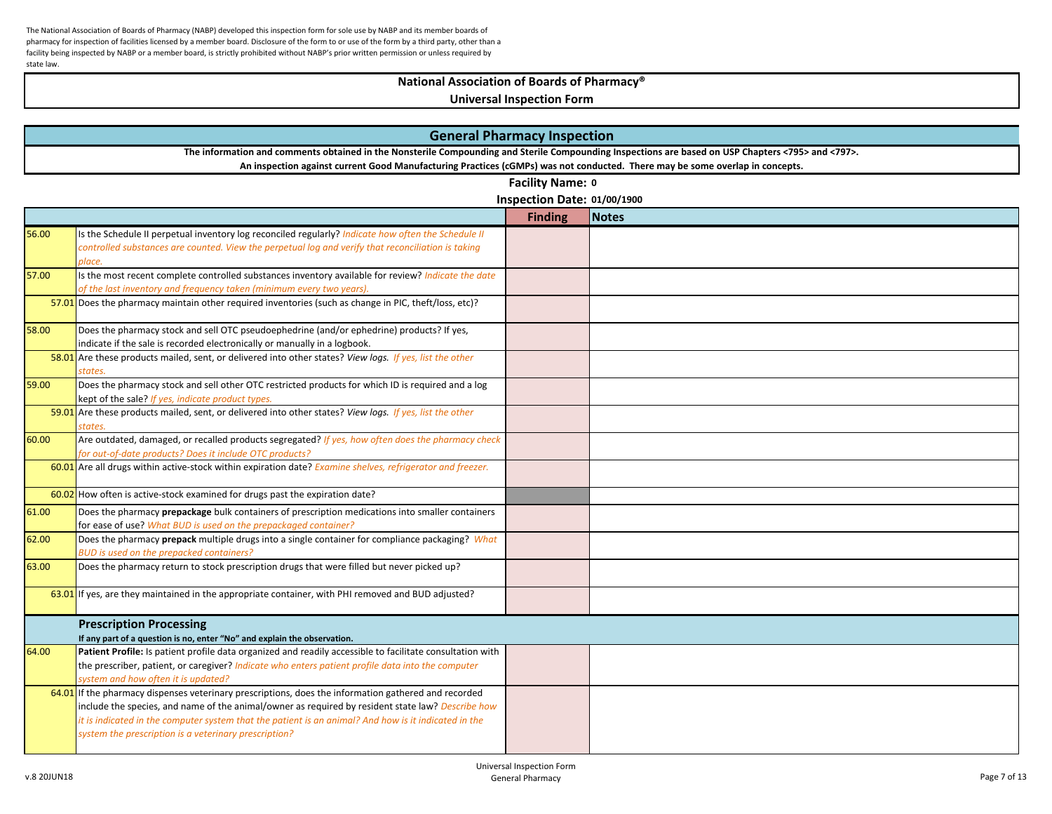# **National Association of Boards of Pharmacy®**

|       |                                                                                                                                                                               | <b>General Pharmacy Inspection</b> |              |  |
|-------|-------------------------------------------------------------------------------------------------------------------------------------------------------------------------------|------------------------------------|--------------|--|
|       | The information and comments obtained in the Nonsterile Compounding and Sterile Compounding Inspections are based on USP Chapters <795> and <797>.                            |                                    |              |  |
|       | An inspection against current Good Manufacturing Practices (cGMPs) was not conducted. There may be some overlap in concepts.                                                  |                                    |              |  |
|       |                                                                                                                                                                               | Facility Name: 0                   |              |  |
|       |                                                                                                                                                                               | Inspection Date: 01/00/1900        |              |  |
|       |                                                                                                                                                                               | <b>Finding</b>                     | <b>Notes</b> |  |
| 56.00 | Is the Schedule II perpetual inventory log reconciled regularly? Indicate how often the Schedule II                                                                           |                                    |              |  |
|       | controlled substances are counted. View the perpetual log and verify that reconciliation is taking                                                                            |                                    |              |  |
|       | place.                                                                                                                                                                        |                                    |              |  |
| 57.00 | Is the most recent complete controlled substances inventory available for review? Indicate the date                                                                           |                                    |              |  |
|       | of the last inventory and frequency taken (minimum every two years).<br>57.01 Does the pharmacy maintain other required inventories (such as change in PIC, theft/loss, etc)? |                                    |              |  |
|       |                                                                                                                                                                               |                                    |              |  |
| 58.00 | Does the pharmacy stock and sell OTC pseudoephedrine (and/or ephedrine) products? If yes,                                                                                     |                                    |              |  |
|       | indicate if the sale is recorded electronically or manually in a logbook.                                                                                                     |                                    |              |  |
|       | 58.01 Are these products mailed, sent, or delivered into other states? View logs. If yes, list the other                                                                      |                                    |              |  |
|       | states.<br>Does the pharmacy stock and sell other OTC restricted products for which ID is required and a log                                                                  |                                    |              |  |
| 59.00 |                                                                                                                                                                               |                                    |              |  |
|       | kept of the sale? If yes, indicate product types.<br>59.01 Are these products mailed, sent, or delivered into other states? View logs. If yes, list the other                 |                                    |              |  |
|       | states                                                                                                                                                                        |                                    |              |  |
| 60.00 | Are outdated, damaged, or recalled products segregated? If yes, how often does the pharmacy check                                                                             |                                    |              |  |
|       | for out-of-date products? Does it include OTC products?                                                                                                                       |                                    |              |  |
|       | 60.01 Are all drugs within active-stock within expiration date? Examine shelves, refrigerator and freezer.                                                                    |                                    |              |  |
|       |                                                                                                                                                                               |                                    |              |  |
|       | 60.02 How often is active-stock examined for drugs past the expiration date?                                                                                                  |                                    |              |  |
| 61.00 | Does the pharmacy prepackage bulk containers of prescription medications into smaller containers                                                                              |                                    |              |  |
|       | for ease of use? What BUD is used on the prepackaged container?                                                                                                               |                                    |              |  |
| 62.00 | Does the pharmacy prepack multiple drugs into a single container for compliance packaging? What                                                                               |                                    |              |  |
| 63.00 | BUD is used on the prepacked containers?<br>Does the pharmacy return to stock prescription drugs that were filled but never picked up?                                        |                                    |              |  |
|       |                                                                                                                                                                               |                                    |              |  |
|       | $63.01$ If yes, are they maintained in the appropriate container, with PHI removed and BUD adjusted?                                                                          |                                    |              |  |
|       |                                                                                                                                                                               |                                    |              |  |
|       | <b>Prescription Processing</b>                                                                                                                                                |                                    |              |  |
|       | If any part of a question is no, enter "No" and explain the observation.                                                                                                      |                                    |              |  |
| 64.00 | Patient Profile: Is patient profile data organized and readily accessible to facilitate consultation with                                                                     |                                    |              |  |
|       | the prescriber, patient, or caregiver? Indicate who enters patient profile data into the computer                                                                             |                                    |              |  |
|       | system and how often it is updated?                                                                                                                                           |                                    |              |  |
|       | $64.01$ if the pharmacy dispenses veterinary prescriptions, does the information gathered and recorded                                                                        |                                    |              |  |
|       | include the species, and name of the animal/owner as required by resident state law? Describe how                                                                             |                                    |              |  |
|       | it is indicated in the computer system that the patient is an animal? And how is it indicated in the                                                                          |                                    |              |  |
|       | system the prescription is a veterinary prescription?                                                                                                                         |                                    |              |  |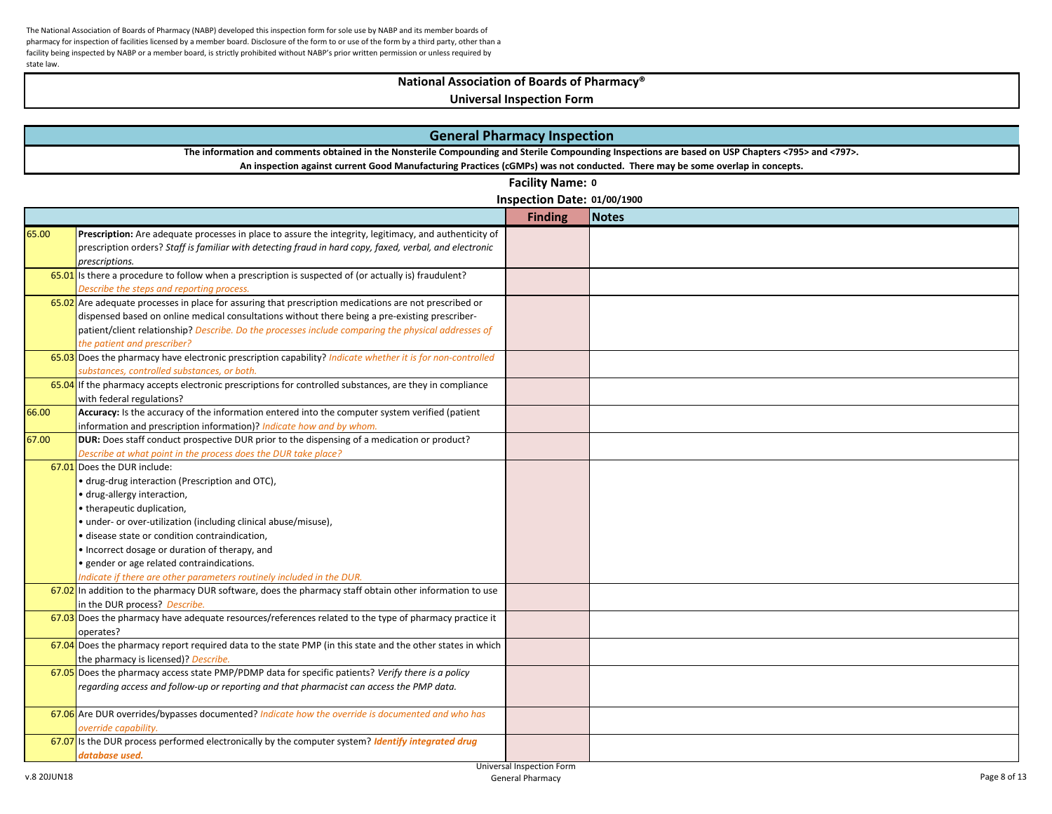# **National Association of Boards of Pharmacy®**

| <b>General Pharmacy Inspection</b> |                                                                                                                                                                                                                                                                                    |                             |              |  |
|------------------------------------|------------------------------------------------------------------------------------------------------------------------------------------------------------------------------------------------------------------------------------------------------------------------------------|-----------------------------|--------------|--|
|                                    | The information and comments obtained in the Nonsterile Compounding and Sterile Compounding Inspections are based on USP Chapters <795> and <797>.<br>An inspection against current Good Manufacturing Practices (cGMPs) was not conducted. There may be some overlap in concepts. |                             |              |  |
|                                    |                                                                                                                                                                                                                                                                                    | Facility Name: 0            |              |  |
|                                    |                                                                                                                                                                                                                                                                                    |                             |              |  |
|                                    |                                                                                                                                                                                                                                                                                    | Inspection Date: 01/00/1900 |              |  |
|                                    |                                                                                                                                                                                                                                                                                    | <b>Finding</b>              | <b>Notes</b> |  |
| 65.00                              | Prescription: Are adequate processes in place to assure the integrity, legitimacy, and authenticity of                                                                                                                                                                             |                             |              |  |
|                                    | prescription orders? Staff is familiar with detecting fraud in hard copy, faxed, verbal, and electronic                                                                                                                                                                            |                             |              |  |
|                                    | prescriptions.                                                                                                                                                                                                                                                                     |                             |              |  |
|                                    | $\overline{65.01}$ is there a procedure to follow when a prescription is suspected of (or actually is) fraudulent?                                                                                                                                                                 |                             |              |  |
|                                    | Describe the steps and reporting process.                                                                                                                                                                                                                                          |                             |              |  |
|                                    | 65.02 Are adequate processes in place for assuring that prescription medications are not prescribed or                                                                                                                                                                             |                             |              |  |
|                                    | dispensed based on online medical consultations without there being a pre-existing prescriber-                                                                                                                                                                                     |                             |              |  |
|                                    | patient/client relationship? Describe. Do the processes include comparing the physical addresses of                                                                                                                                                                                |                             |              |  |
|                                    | the patient and prescriber?                                                                                                                                                                                                                                                        |                             |              |  |
|                                    | 65.03 Does the pharmacy have electronic prescription capability? Indicate whether it is for non-controlled                                                                                                                                                                         |                             |              |  |
|                                    | substances, controlled substances, or both.                                                                                                                                                                                                                                        |                             |              |  |
|                                    | 65.04 If the pharmacy accepts electronic prescriptions for controlled substances, are they in compliance                                                                                                                                                                           |                             |              |  |
|                                    | with federal regulations?                                                                                                                                                                                                                                                          |                             |              |  |
| 66.00                              | Accuracy: Is the accuracy of the information entered into the computer system verified (patient                                                                                                                                                                                    |                             |              |  |
| 67.00                              | information and prescription information)? Indicate how and by whom.<br><b>DUR:</b> Does staff conduct prospective DUR prior to the dispensing of a medication or product?                                                                                                         |                             |              |  |
|                                    |                                                                                                                                                                                                                                                                                    |                             |              |  |
|                                    | Describe at what point in the process does the DUR take place?                                                                                                                                                                                                                     |                             |              |  |
|                                    | 67.01 Does the DUR include:                                                                                                                                                                                                                                                        |                             |              |  |
|                                    | · drug-drug interaction (Prescription and OTC),                                                                                                                                                                                                                                    |                             |              |  |
|                                    | · drug-allergy interaction,                                                                                                                                                                                                                                                        |                             |              |  |
|                                    | • therapeutic duplication,                                                                                                                                                                                                                                                         |                             |              |  |
|                                    | • under- or over-utilization (including clinical abuse/misuse),                                                                                                                                                                                                                    |                             |              |  |
|                                    | · disease state or condition contraindication,                                                                                                                                                                                                                                     |                             |              |  |
|                                    | . Incorrect dosage or duration of therapy, and                                                                                                                                                                                                                                     |                             |              |  |
|                                    | · gender or age related contraindications.                                                                                                                                                                                                                                         |                             |              |  |
|                                    | Indicate if there are other parameters routinely included in the DUR.                                                                                                                                                                                                              |                             |              |  |
|                                    | 67.02 In addition to the pharmacy DUR software, does the pharmacy staff obtain other information to use                                                                                                                                                                            |                             |              |  |
|                                    | in the DUR process? Describe.<br>67.03 Does the pharmacy have adequate resources/references related to the type of pharmacy practice it                                                                                                                                            |                             |              |  |
|                                    | operates?                                                                                                                                                                                                                                                                          |                             |              |  |
|                                    | 67.04 Does the pharmacy report required data to the state PMP (in this state and the other states in which                                                                                                                                                                         |                             |              |  |
|                                    | the pharmacy is licensed)? Describe.                                                                                                                                                                                                                                               |                             |              |  |
|                                    | 67.05 Does the pharmacy access state PMP/PDMP data for specific patients? Verify there is a policy                                                                                                                                                                                 |                             |              |  |
|                                    | regarding access and follow-up or reporting and that pharmacist can access the PMP data.                                                                                                                                                                                           |                             |              |  |
|                                    |                                                                                                                                                                                                                                                                                    |                             |              |  |
|                                    | $67.06$ Are DUR overrides/bypasses documented? Indicate how the override is documented and who has                                                                                                                                                                                 |                             |              |  |
|                                    | override capability.                                                                                                                                                                                                                                                               |                             |              |  |
|                                    | 67.07 Is the DUR process performed electronically by the computer system? Identify integrated drug                                                                                                                                                                                 |                             |              |  |
|                                    | database used.                                                                                                                                                                                                                                                                     |                             |              |  |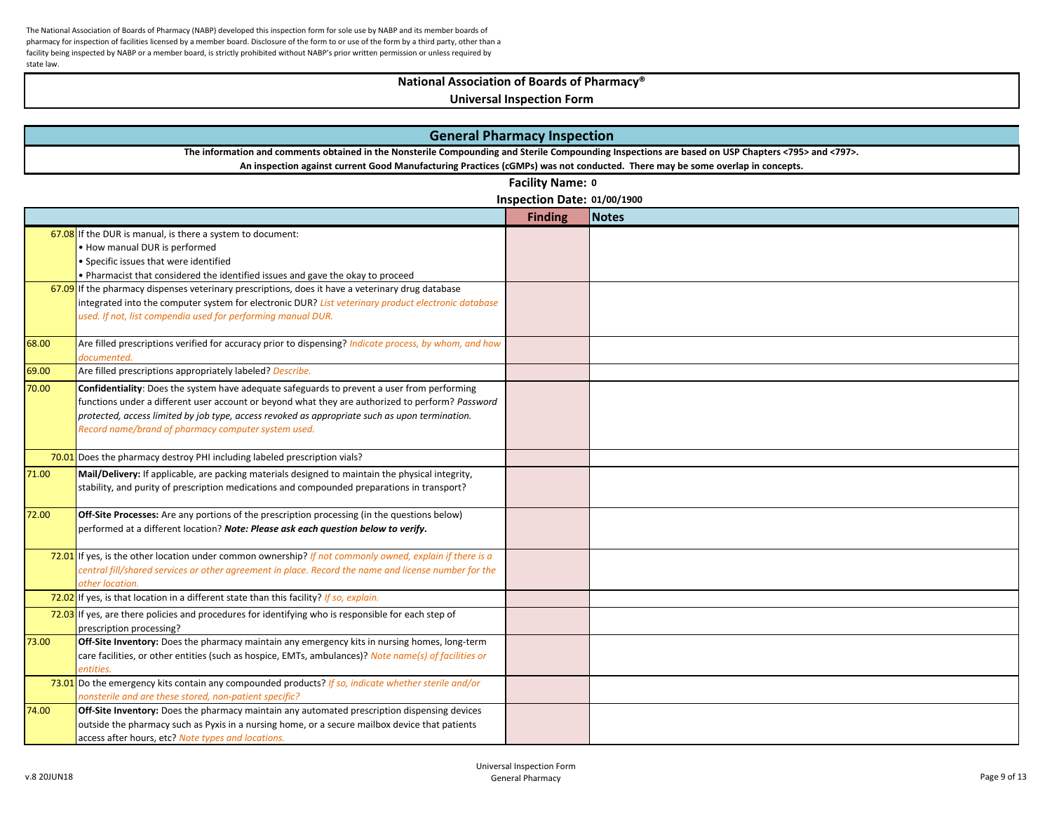### **National Association of Boards of Pharmacy®**

| <b>General Pharmacy Inspection</b>                                                                                                                 |                                                                                                                                   |                             |              |  |
|----------------------------------------------------------------------------------------------------------------------------------------------------|-----------------------------------------------------------------------------------------------------------------------------------|-----------------------------|--------------|--|
| The information and comments obtained in the Nonsterile Compounding and Sterile Compounding Inspections are based on USP Chapters <795> and <797>. |                                                                                                                                   |                             |              |  |
|                                                                                                                                                    | An inspection against current Good Manufacturing Practices (cGMPs) was not conducted. There may be some overlap in concepts.      |                             |              |  |
|                                                                                                                                                    |                                                                                                                                   | <b>Facility Name: 0</b>     |              |  |
|                                                                                                                                                    |                                                                                                                                   | Inspection Date: 01/00/1900 |              |  |
|                                                                                                                                                    |                                                                                                                                   | <b>Finding</b>              | <b>Notes</b> |  |
|                                                                                                                                                    | $67.08$ If the DUR is manual, is there a system to document:                                                                      |                             |              |  |
|                                                                                                                                                    | . How manual DUR is performed                                                                                                     |                             |              |  |
|                                                                                                                                                    | • Specific issues that were identified                                                                                            |                             |              |  |
|                                                                                                                                                    | . Pharmacist that considered the identified issues and gave the okay to proceed                                                   |                             |              |  |
|                                                                                                                                                    | $\overline{67.09}$ If the pharmacy dispenses veterinary prescriptions, does it have a veterinary drug database                    |                             |              |  |
|                                                                                                                                                    | integrated into the computer system for electronic DUR? List veterinary product electronic database                               |                             |              |  |
|                                                                                                                                                    | used. If not, list compendia used for performing manual DUR.                                                                      |                             |              |  |
| 68.00                                                                                                                                              | Are filled prescriptions verified for accuracy prior to dispensing? Indicate process, by whom, and how                            |                             |              |  |
| 69.00                                                                                                                                              | documented.<br>Are filled prescriptions appropriately labeled? Describe.                                                          |                             |              |  |
| 70.00                                                                                                                                              | Confidentiality: Does the system have adequate safeguards to prevent a user from performing                                       |                             |              |  |
|                                                                                                                                                    | functions under a different user account or beyond what they are authorized to perform? Password                                  |                             |              |  |
|                                                                                                                                                    | protected, access limited by job type, access revoked as appropriate such as upon termination.                                    |                             |              |  |
|                                                                                                                                                    | Record name/brand of pharmacy computer system used.                                                                               |                             |              |  |
|                                                                                                                                                    |                                                                                                                                   |                             |              |  |
|                                                                                                                                                    | 70.01 Does the pharmacy destroy PHI including labeled prescription vials?                                                         |                             |              |  |
| 71.00                                                                                                                                              | Mail/Delivery: If applicable, are packing materials designed to maintain the physical integrity,                                  |                             |              |  |
|                                                                                                                                                    | stability, and purity of prescription medications and compounded preparations in transport?                                       |                             |              |  |
|                                                                                                                                                    |                                                                                                                                   |                             |              |  |
| 72.00                                                                                                                                              | Off-Site Processes: Are any portions of the prescription processing (in the questions below)                                      |                             |              |  |
|                                                                                                                                                    | performed at a different location? Note: Please ask each question below to verify.                                                |                             |              |  |
|                                                                                                                                                    | 72.01 If yes, is the other location under common ownership? If not commonly owned, explain if there is a                          |                             |              |  |
|                                                                                                                                                    | central fill/shared services or other agreement in place. Record the name and license number for the                              |                             |              |  |
|                                                                                                                                                    | other location.                                                                                                                   |                             |              |  |
|                                                                                                                                                    | 72.02 If yes, is that location in a different state than this facility? If so, explain.                                           |                             |              |  |
|                                                                                                                                                    | $72.03$ If yes, are there policies and procedures for identifying who is responsible for each step of<br>prescription processing? |                             |              |  |
| 73.00                                                                                                                                              | Off-Site Inventory: Does the pharmacy maintain any emergency kits in nursing homes, long-term                                     |                             |              |  |
|                                                                                                                                                    | care facilities, or other entities (such as hospice, EMTs, ambulances)? Note name(s) of facilities or                             |                             |              |  |
|                                                                                                                                                    | entities.                                                                                                                         |                             |              |  |
|                                                                                                                                                    | 73.01 Do the emergency kits contain any compounded products? If so, indicate whether sterile and/or                               |                             |              |  |
|                                                                                                                                                    | nonsterile and are these stored, non-patient specific?                                                                            |                             |              |  |
| 74.00                                                                                                                                              | Off-Site Inventory: Does the pharmacy maintain any automated prescription dispensing devices                                      |                             |              |  |
|                                                                                                                                                    | outside the pharmacy such as Pyxis in a nursing home, or a secure mailbox device that patients                                    |                             |              |  |
|                                                                                                                                                    | access after hours, etc? Note types and locations.                                                                                |                             |              |  |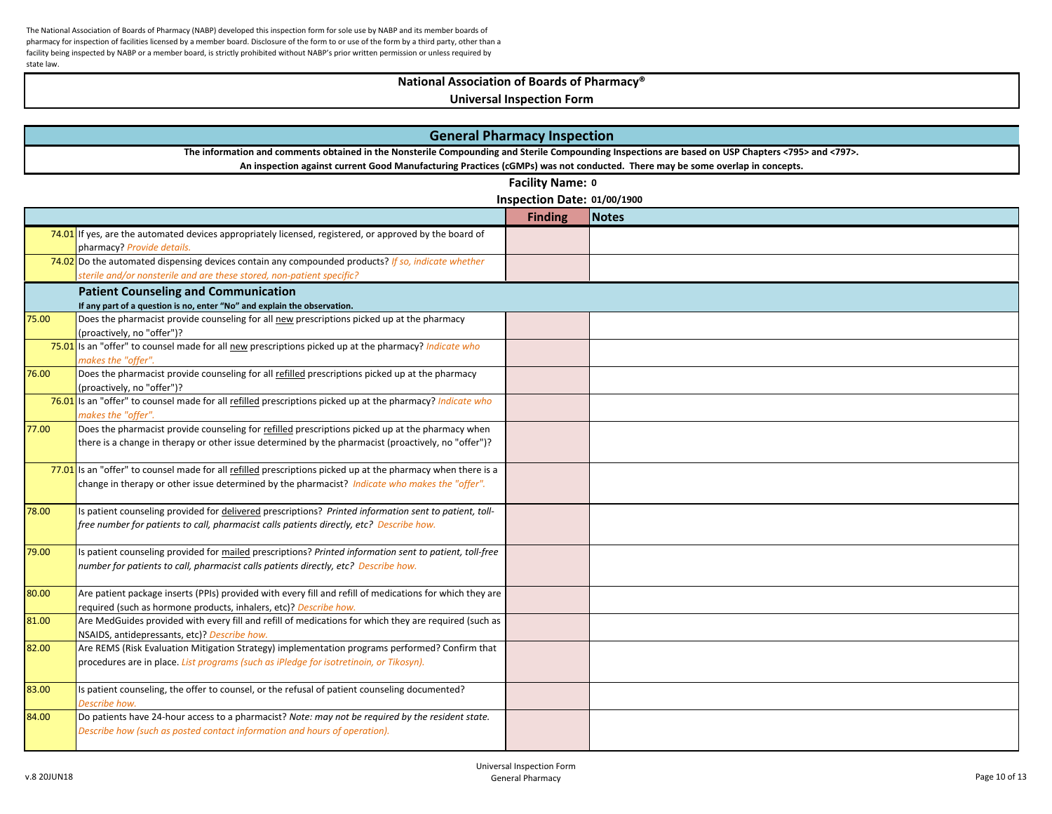# **National Association of Boards of Pharmacy®**

| <b>General Pharmacy Inspection</b> |                                                                                                                                                    |                             |              |  |
|------------------------------------|----------------------------------------------------------------------------------------------------------------------------------------------------|-----------------------------|--------------|--|
|                                    | The information and comments obtained in the Nonsterile Compounding and Sterile Compounding Inspections are based on USP Chapters <795> and <797>. |                             |              |  |
|                                    | An inspection against current Good Manufacturing Practices (cGMPs) was not conducted. There may be some overlap in concepts.                       |                             |              |  |
|                                    |                                                                                                                                                    | Facility Name: 0            |              |  |
|                                    |                                                                                                                                                    | Inspection Date: 01/00/1900 |              |  |
|                                    |                                                                                                                                                    | <b>Finding</b>              | <b>Notes</b> |  |
|                                    | $74.01$ If yes, are the automated devices appropriately licensed, registered, or approved by the board of                                          |                             |              |  |
|                                    | pharmacy? Provide details.                                                                                                                         |                             |              |  |
|                                    | 74.02 Do the automated dispensing devices contain any compounded products? If so, indicate whether                                                 |                             |              |  |
|                                    | sterile and/or nonsterile and are these stored, non-patient specific?                                                                              |                             |              |  |
|                                    | <b>Patient Counseling and Communication</b>                                                                                                        |                             |              |  |
|                                    | If any part of a question is no, enter "No" and explain the observation.                                                                           |                             |              |  |
| 75.00                              | Does the pharmacist provide counseling for all new prescriptions picked up at the pharmacy                                                         |                             |              |  |
|                                    | (proactively, no "offer")?                                                                                                                         |                             |              |  |
|                                    | 75.01 Is an "offer" to counsel made for all new prescriptions picked up at the pharmacy? Indicate who<br>makes the "offer".                        |                             |              |  |
| 76.00                              | Does the pharmacist provide counseling for all refilled prescriptions picked up at the pharmacy                                                    |                             |              |  |
|                                    | (proactively, no "offer")?                                                                                                                         |                             |              |  |
|                                    | 76.01 Is an "offer" to counsel made for all refilled prescriptions picked up at the pharmacy? Indicate who                                         |                             |              |  |
|                                    | makes the "offer".                                                                                                                                 |                             |              |  |
| 77.00                              | Does the pharmacist provide counseling for refilled prescriptions picked up at the pharmacy when                                                   |                             |              |  |
|                                    | there is a change in therapy or other issue determined by the pharmacist (proactively, no "offer")?                                                |                             |              |  |
|                                    |                                                                                                                                                    |                             |              |  |
|                                    | 77.01 Is an "offer" to counsel made for all refilled prescriptions picked up at the pharmacy when there is a                                       |                             |              |  |
|                                    | change in therapy or other issue determined by the pharmacist? Indicate who makes the "offer".                                                     |                             |              |  |
|                                    |                                                                                                                                                    |                             |              |  |
| 78.00                              | Is patient counseling provided for delivered prescriptions? Printed information sent to patient, toll-                                             |                             |              |  |
|                                    | free number for patients to call, pharmacist calls patients directly, etc? Describe how.                                                           |                             |              |  |
|                                    |                                                                                                                                                    |                             |              |  |
| 79.00                              | Is patient counseling provided for mailed prescriptions? Printed information sent to patient, toll-free                                            |                             |              |  |
|                                    | number for patients to call, pharmacist calls patients directly, etc? Describe how.                                                                |                             |              |  |
|                                    |                                                                                                                                                    |                             |              |  |
| 80.00                              | Are patient package inserts (PPIs) provided with every fill and refill of medications for which they are                                           |                             |              |  |
|                                    | required (such as hormone products, inhalers, etc)? Describe how.                                                                                  |                             |              |  |
| 81.00                              | Are MedGuides provided with every fill and refill of medications for which they are required (such as                                              |                             |              |  |
|                                    | NSAIDS, antidepressants, etc)? Describe how.                                                                                                       |                             |              |  |
| 82.00                              | Are REMS (Risk Evaluation Mitigation Strategy) implementation programs performed? Confirm that                                                     |                             |              |  |
|                                    | procedures are in place. List programs (such as iPledge for isotretinoin, or Tikosyn).                                                             |                             |              |  |
| 83.00                              |                                                                                                                                                    |                             |              |  |
|                                    | Is patient counseling, the offer to counsel, or the refusal of patient counseling documented?<br>Describe how.                                     |                             |              |  |
| 84.00                              | Do patients have 24-hour access to a pharmacist? Note: may not be required by the resident state.                                                  |                             |              |  |
|                                    | Describe how (such as posted contact information and hours of operation).                                                                          |                             |              |  |
|                                    |                                                                                                                                                    |                             |              |  |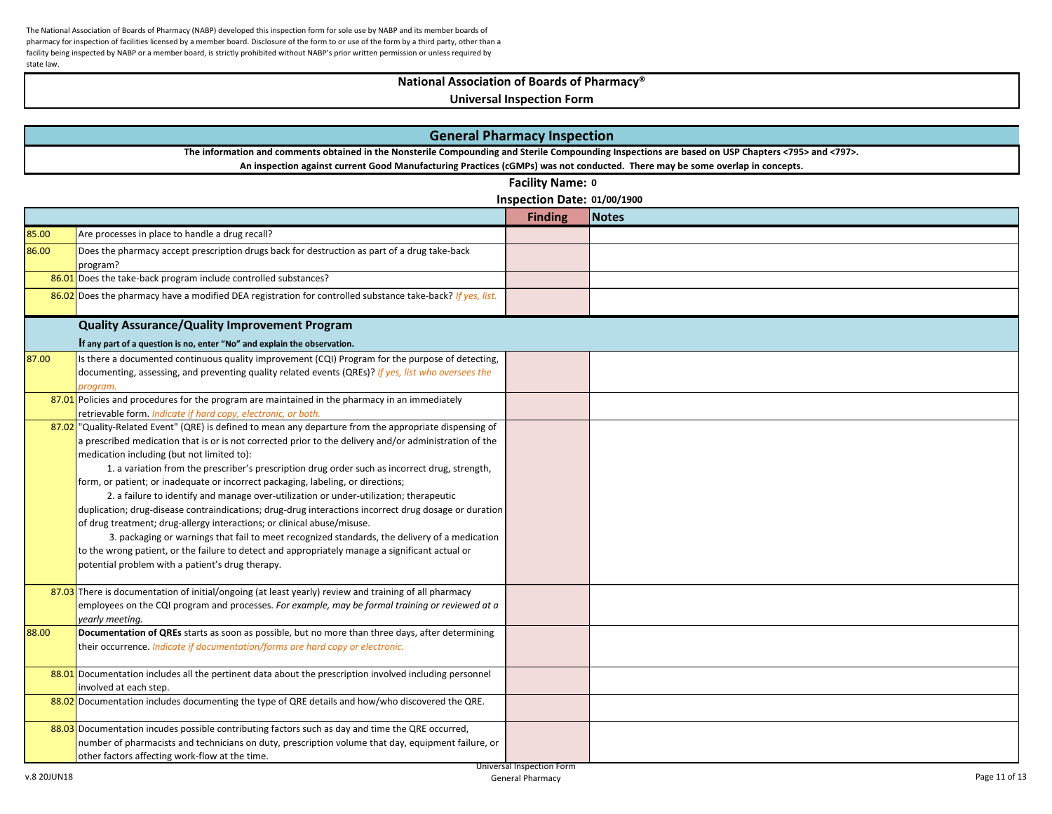## **National Association of Boards of Pharmacy®**

| <b>General Pharmacy Inspection</b> |                                                                                                                                                                                                                                                                                                                                                                                                                                                                                                                                                                                                                                                                                                                                                                                                                                                                                                                                                                                             |                             |              |  |
|------------------------------------|---------------------------------------------------------------------------------------------------------------------------------------------------------------------------------------------------------------------------------------------------------------------------------------------------------------------------------------------------------------------------------------------------------------------------------------------------------------------------------------------------------------------------------------------------------------------------------------------------------------------------------------------------------------------------------------------------------------------------------------------------------------------------------------------------------------------------------------------------------------------------------------------------------------------------------------------------------------------------------------------|-----------------------------|--------------|--|
|                                    | The information and comments obtained in the Nonsterile Compounding and Sterile Compounding Inspections are based on USP Chapters <795> and <797>.<br>An inspection against current Good Manufacturing Practices (cGMPs) was not conducted. There may be some overlap in concepts.                                                                                                                                                                                                                                                                                                                                                                                                                                                                                                                                                                                                                                                                                                          |                             |              |  |
|                                    | <b>Facility Name: 0</b>                                                                                                                                                                                                                                                                                                                                                                                                                                                                                                                                                                                                                                                                                                                                                                                                                                                                                                                                                                     |                             |              |  |
|                                    |                                                                                                                                                                                                                                                                                                                                                                                                                                                                                                                                                                                                                                                                                                                                                                                                                                                                                                                                                                                             | Inspection Date: 01/00/1900 |              |  |
|                                    |                                                                                                                                                                                                                                                                                                                                                                                                                                                                                                                                                                                                                                                                                                                                                                                                                                                                                                                                                                                             | <b>Finding</b>              | <b>Notes</b> |  |
| 85.00                              | Are processes in place to handle a drug recall?                                                                                                                                                                                                                                                                                                                                                                                                                                                                                                                                                                                                                                                                                                                                                                                                                                                                                                                                             |                             |              |  |
| 86.00                              | Does the pharmacy accept prescription drugs back for destruction as part of a drug take-back<br>program?                                                                                                                                                                                                                                                                                                                                                                                                                                                                                                                                                                                                                                                                                                                                                                                                                                                                                    |                             |              |  |
|                                    | 86.01 Does the take-back program include controlled substances?                                                                                                                                                                                                                                                                                                                                                                                                                                                                                                                                                                                                                                                                                                                                                                                                                                                                                                                             |                             |              |  |
|                                    | 86.02 Does the pharmacy have a modified DEA registration for controlled substance take-back? If yes, list.                                                                                                                                                                                                                                                                                                                                                                                                                                                                                                                                                                                                                                                                                                                                                                                                                                                                                  |                             |              |  |
|                                    | <b>Quality Assurance/Quality Improvement Program</b>                                                                                                                                                                                                                                                                                                                                                                                                                                                                                                                                                                                                                                                                                                                                                                                                                                                                                                                                        |                             |              |  |
|                                    | If any part of a question is no, enter "No" and explain the observation.                                                                                                                                                                                                                                                                                                                                                                                                                                                                                                                                                                                                                                                                                                                                                                                                                                                                                                                    |                             |              |  |
| 87.00                              | Is there a documented continuous quality improvement (CQI) Program for the purpose of detecting,<br>documenting, assessing, and preventing quality related events (QREs)? If yes, list who oversees the<br>program.                                                                                                                                                                                                                                                                                                                                                                                                                                                                                                                                                                                                                                                                                                                                                                         |                             |              |  |
|                                    | 87.01 Policies and procedures for the program are maintained in the pharmacy in an immediately<br>retrievable form. Indicate if hard copy, electronic, or both.                                                                                                                                                                                                                                                                                                                                                                                                                                                                                                                                                                                                                                                                                                                                                                                                                             |                             |              |  |
|                                    | 87.02 "Quality-Related Event" (QRE) is defined to mean any departure from the appropriate dispensing of<br>a prescribed medication that is or is not corrected prior to the delivery and/or administration of the<br>medication including (but not limited to):<br>1. a variation from the prescriber's prescription drug order such as incorrect drug, strength,<br>form, or patient; or inadequate or incorrect packaging, labeling, or directions;<br>2. a failure to identify and manage over-utilization or under-utilization; therapeutic<br>duplication; drug-disease contraindications; drug-drug interactions incorrect drug dosage or duration<br>of drug treatment; drug-allergy interactions; or clinical abuse/misuse.<br>3. packaging or warnings that fail to meet recognized standards, the delivery of a medication<br>to the wrong patient, or the failure to detect and appropriately manage a significant actual or<br>potential problem with a patient's drug therapy. |                             |              |  |
|                                    | 87.03 There is documentation of initial/ongoing (at least yearly) review and training of all pharmacy<br>employees on the CQI program and processes. For example, may be formal training or reviewed at a<br>yearly meeting.                                                                                                                                                                                                                                                                                                                                                                                                                                                                                                                                                                                                                                                                                                                                                                |                             |              |  |
| 88.00                              | Documentation of QREs starts as soon as possible, but no more than three days, after determining<br>their occurrence. Indicate if documentation/forms are hard copy or electronic.                                                                                                                                                                                                                                                                                                                                                                                                                                                                                                                                                                                                                                                                                                                                                                                                          |                             |              |  |
|                                    | 88.01 Documentation includes all the pertinent data about the prescription involved including personnel<br>involved at each step.                                                                                                                                                                                                                                                                                                                                                                                                                                                                                                                                                                                                                                                                                                                                                                                                                                                           |                             |              |  |
|                                    | 88.02 Documentation includes documenting the type of QRE details and how/who discovered the QRE.                                                                                                                                                                                                                                                                                                                                                                                                                                                                                                                                                                                                                                                                                                                                                                                                                                                                                            |                             |              |  |
|                                    | 88.03 Documentation incudes possible contributing factors such as day and time the QRE occurred,<br>number of pharmacists and technicians on duty, prescription volume that day, equipment failure, or<br>other factors affecting work-flow at the time.                                                                                                                                                                                                                                                                                                                                                                                                                                                                                                                                                                                                                                                                                                                                    | Universal Inspection Form   |              |  |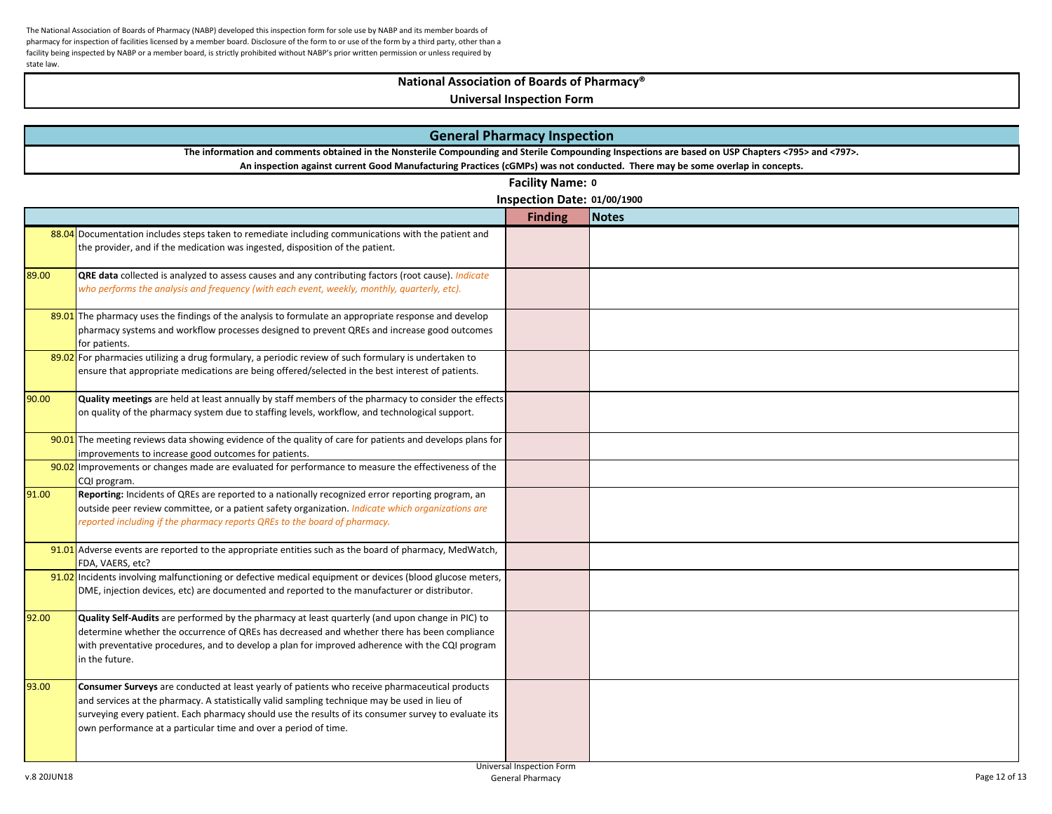# **National Association of Boards of Pharmacy®**

|       | <b>General Pharmacy Inspection</b>                                                                                                                                                                                                                                                                                                                                         |                                                 |              |  |  |
|-------|----------------------------------------------------------------------------------------------------------------------------------------------------------------------------------------------------------------------------------------------------------------------------------------------------------------------------------------------------------------------------|-------------------------------------------------|--------------|--|--|
|       | The information and comments obtained in the Nonsterile Compounding and Sterile Compounding Inspections are based on USP Chapters <795> and <797>.                                                                                                                                                                                                                         |                                                 |              |  |  |
|       | An inspection against current Good Manufacturing Practices (cGMPs) was not conducted. There may be some overlap in concepts.                                                                                                                                                                                                                                               |                                                 |              |  |  |
|       |                                                                                                                                                                                                                                                                                                                                                                            | Facility Name: 0<br>Inspection Date: 01/00/1900 |              |  |  |
|       |                                                                                                                                                                                                                                                                                                                                                                            | <b>Finding</b>                                  | <b>Notes</b> |  |  |
|       | 88.04 Documentation includes steps taken to remediate including communications with the patient and                                                                                                                                                                                                                                                                        |                                                 |              |  |  |
|       | the provider, and if the medication was ingested, disposition of the patient.                                                                                                                                                                                                                                                                                              |                                                 |              |  |  |
| 89.00 | QRE data collected is analyzed to assess causes and any contributing factors (root cause). Indicate<br>who performs the analysis and frequency (with each event, weekly, monthly, quarterly, etc).                                                                                                                                                                         |                                                 |              |  |  |
|       | 89.01 The pharmacy uses the findings of the analysis to formulate an appropriate response and develop<br>pharmacy systems and workflow processes designed to prevent QREs and increase good outcomes<br>for patients.                                                                                                                                                      |                                                 |              |  |  |
|       | 89.02 For pharmacies utilizing a drug formulary, a periodic review of such formulary is undertaken to<br>ensure that appropriate medications are being offered/selected in the best interest of patients.                                                                                                                                                                  |                                                 |              |  |  |
| 90.00 | Quality meetings are held at least annually by staff members of the pharmacy to consider the effects<br>on quality of the pharmacy system due to staffing levels, workflow, and technological support.                                                                                                                                                                     |                                                 |              |  |  |
|       | 90.01 The meeting reviews data showing evidence of the quality of care for patients and develops plans for<br>improvements to increase good outcomes for patients.                                                                                                                                                                                                         |                                                 |              |  |  |
|       | 90.02 Improvements or changes made are evaluated for performance to measure the effectiveness of the<br>CQI program.                                                                                                                                                                                                                                                       |                                                 |              |  |  |
| 91.00 | Reporting: Incidents of QREs are reported to a nationally recognized error reporting program, an<br>outside peer review committee, or a patient safety organization. <i>Indicate which organizations are</i><br>reported including if the pharmacy reports QREs to the board of pharmacy.                                                                                  |                                                 |              |  |  |
|       | 91.01 Adverse events are reported to the appropriate entities such as the board of pharmacy, MedWatch,<br>FDA, VAERS, etc?                                                                                                                                                                                                                                                 |                                                 |              |  |  |
|       | 91.02 Incidents involving malfunctioning or defective medical equipment or devices (blood glucose meters,<br>DME, injection devices, etc) are documented and reported to the manufacturer or distributor.                                                                                                                                                                  |                                                 |              |  |  |
| 92.00 | Quality Self-Audits are performed by the pharmacy at least quarterly (and upon change in PIC) to<br>determine whether the occurrence of QREs has decreased and whether there has been compliance<br>with preventative procedures, and to develop a plan for improved adherence with the CQI program<br>in the future.                                                      |                                                 |              |  |  |
| 93.00 | Consumer Surveys are conducted at least yearly of patients who receive pharmaceutical products<br>and services at the pharmacy. A statistically valid sampling technique may be used in lieu of<br>surveying every patient. Each pharmacy should use the results of its consumer survey to evaluate its<br>own performance at a particular time and over a period of time. |                                                 |              |  |  |